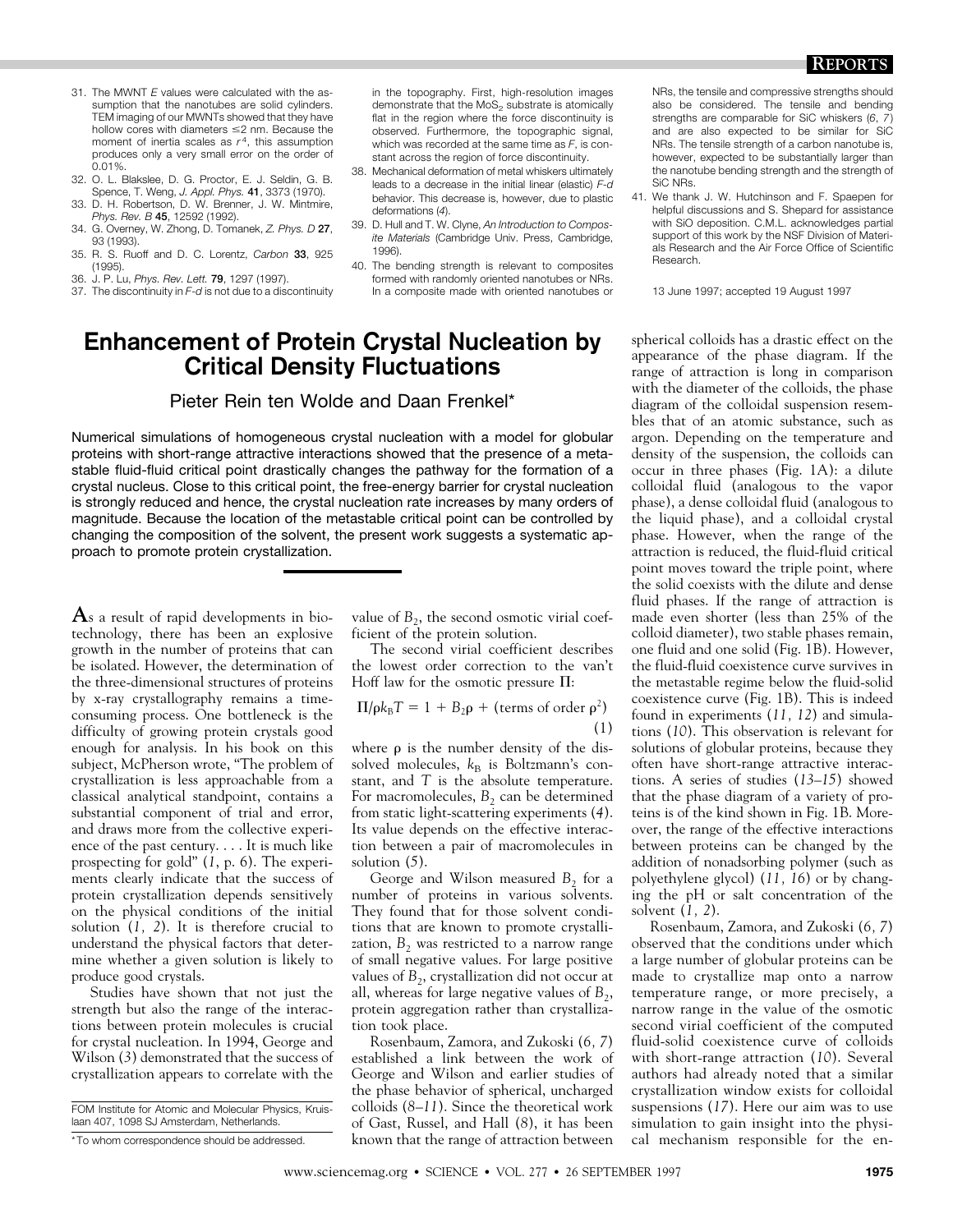- 31. The MWNT *E* values were calculated with the assumption that the nanotubes are solid cylinders. TEM imaging of our MWNTs showed that they have hollow cores with diameters  $\leq$  nm. Because the moment of inertia scales as  $r<sup>4</sup>$ , this assumption produces only a very small error on the order of 0.01%.
- 32. O. L. Blakslee, D. G. Proctor, E. J. Seldin, G. B. Spence, T. Weng, *J. Appl. Phys.* 41, 3373 (1970).
- 33. D. H. Robertson, D. W. Brenner, J. W. Mintmire, *Phys. Rev. B* 45, 12592 (1992).
- 34. G. Overney, W. Zhong, D. Tomanek, *Z. Phys. D* 27, 93 (1993).
- 35. R. S. Ruoff and D. C. Lorentz, *Carbon* 33, 925 (1995).
- 36. J. P. Lu, *Phys. Rev. Lett.* 79, 1297 (1997).
- 37. The discontinuity in *F*-*d* is not due to a discontinuity

in the topography. First, high-resolution images demonstrate that the MoS<sub>2</sub> substrate is atomically flat in the region where the force discontinuity is observed. Furthermore, the topographic signal, which was recorded at the same time as *F*, is constant across the region of force discontinuity.

- 38. Mechanical deformation of metal whiskers ultimately leads to a decrease in the initial linear (elastic) *F*-*d* behavior. This decrease is, however, due to plastic deformations (*4*).
- 39. D. Hull and T. W. Clyne, *An Introduction to Composite Materials* (Cambridge Univ. Press, Cambridge, 1996).
- 40. The bending strength is relevant to composites formed with randomly oriented nanotubes or NRs. In a composite made with oriented nanotubes or

## **Enhancement of Protein Crystal Nucleation by Critical Density Fluctuations**

## Pieter Rein ten Wolde and Daan Frenkel\*

Numerical simulations of homogeneous crystal nucleation with a model for globular proteins with short-range attractive interactions showed that the presence of a metastable fluid-fluid critical point drastically changes the pathway for the formation of a crystal nucleus. Close to this critical point, the free-energy barrier for crystal nucleation is strongly reduced and hence, the crystal nucleation rate increases by many orders of magnitude. Because the location of the metastable critical point can be controlled by changing the composition of the solvent, the present work suggests a systematic approach to promote protein crystallization.

**A**s a result of rapid developments in biotechnology, there has been an explosive growth in the number of proteins that can be isolated. However, the determination of the three-dimensional structures of proteins by x-ray crystallography remains a timeconsuming process. One bottleneck is the difficulty of growing protein crystals good enough for analysis. In his book on this subject, McPherson wrote, "The problem of crystallization is less approachable from a classical analytical standpoint, contains a substantial component of trial and error, and draws more from the collective experience of the past century. . . . It is much like prospecting for gold" (*1*, p. 6). The experiments clearly indicate that the success of protein crystallization depends sensitively on the physical conditions of the initial solution (*1, 2*). It is therefore crucial to understand the physical factors that determine whether a given solution is likely to produce good crystals.

Studies have shown that not just the strength but also the range of the interactions between protein molecules is crucial for crystal nucleation. In 1994, George and Wilson (*3*) demonstrated that the success of crystallization appears to correlate with the

value of  $B_2$ , the second osmotic virial coefficient of the protein solution.

The second virial coefficient describes the lowest order correction to the van't Hoff law for the osmotic pressure  $\Pi$ :

$$
\Pi/\rho k_{\text{B}}T = 1 + B_2\rho + \text{(terms of order } \rho^2)
$$
\n(1)

where  $\rho$  is the number density of the dissolved molecules,  $k_B$  is Boltzmann's constant, and *T* is the absolute temperature. For macromolecules,  $B_2$  can be determined from static light-scattering experiments (*4*). Its value depends on the effective interaction between a pair of macromolecules in solution (*5*).

George and Wilson measured B<sub>2</sub> for a number of proteins in various solvents. They found that for those solvent conditions that are known to promote crystallization, B<sub>2</sub> was restricted to a narrow range of small negative values. For large positive values of  $B_2$ , crystallization did not occur at all, whereas for large negative values of  $B_2$ , protein aggregation rather than crystallization took place.

Rosenbaum, Zamora, and Zukoski (*6, 7*) established a link between the work of George and Wilson and earlier studies of the phase behavior of spherical, uncharged colloids (*8–11*). Since the theoretical work of Gast, Russel, and Hall (*8*), it has been known that the range of attraction between NRs, the tensile and compressive strengths should also be considered. The tensile and bending strengths are comparable for SiC whiskers (*6*, *7*) and are also expected to be similar for SiC NRs. The tensile strength of a carbon nanotube is, however, expected to be substantially larger than the nanotube bending strength and the strength of SiC NRs.

41. We thank J. W. Hutchinson and F. Spaepen for helpful discussions and S. Shepard for assistance with SiO deposition. C.M.L. acknowledges partial support of this work by the NSF Division of Materials Research and the Air Force Office of Scientific Research.

13 June 1997; accepted 19 August 1997

spherical colloids has a drastic effect on the appearance of the phase diagram. If the range of attraction is long in comparison with the diameter of the colloids, the phase diagram of the colloidal suspension resembles that of an atomic substance, such as argon. Depending on the temperature and density of the suspension, the colloids can occur in three phases (Fig. 1A): a dilute colloidal fluid (analogous to the vapor phase), a dense colloidal fluid (analogous to the liquid phase), and a colloidal crystal phase. However, when the range of the attraction is reduced, the fluid-fluid critical point moves toward the triple point, where the solid coexists with the dilute and dense fluid phases. If the range of attraction is made even shorter (less than 25% of the colloid diameter), two stable phases remain, one fluid and one solid (Fig. 1B). However, the fluid-fluid coexistence curve survives in the metastable regime below the fluid-solid coexistence curve (Fig. 1B). This is indeed found in experiments (*11, 12*) and simulations (*10*). This observation is relevant for solutions of globular proteins, because they often have short-range attractive interactions. A series of studies (*13–15*) showed that the phase diagram of a variety of proteins is of the kind shown in Fig. 1B. Moreover, the range of the effective interactions between proteins can be changed by the addition of nonadsorbing polymer (such as polyethylene glycol) (*11, 16*) or by changing the pH or salt concentration of the solvent (*1, 2*).

Rosenbaum, Zamora, and Zukoski (*6, 7*) observed that the conditions under which a large number of globular proteins can be made to crystallize map onto a narrow temperature range, or more precisely, a narrow range in the value of the osmotic second virial coefficient of the computed fluid-solid coexistence curve of colloids with short-range attraction (*10*). Several authors had already noted that a similar crystallization window exists for colloidal suspensions (*17*). Here our aim was to use simulation to gain insight into the physical mechanism responsible for the en-

FOM Institute for Atomic and Molecular Physics, Kruislaan 407, 1098 SJ Amsterdam, Netherlands.

<sup>\*</sup>To whom correspondence should be addressed.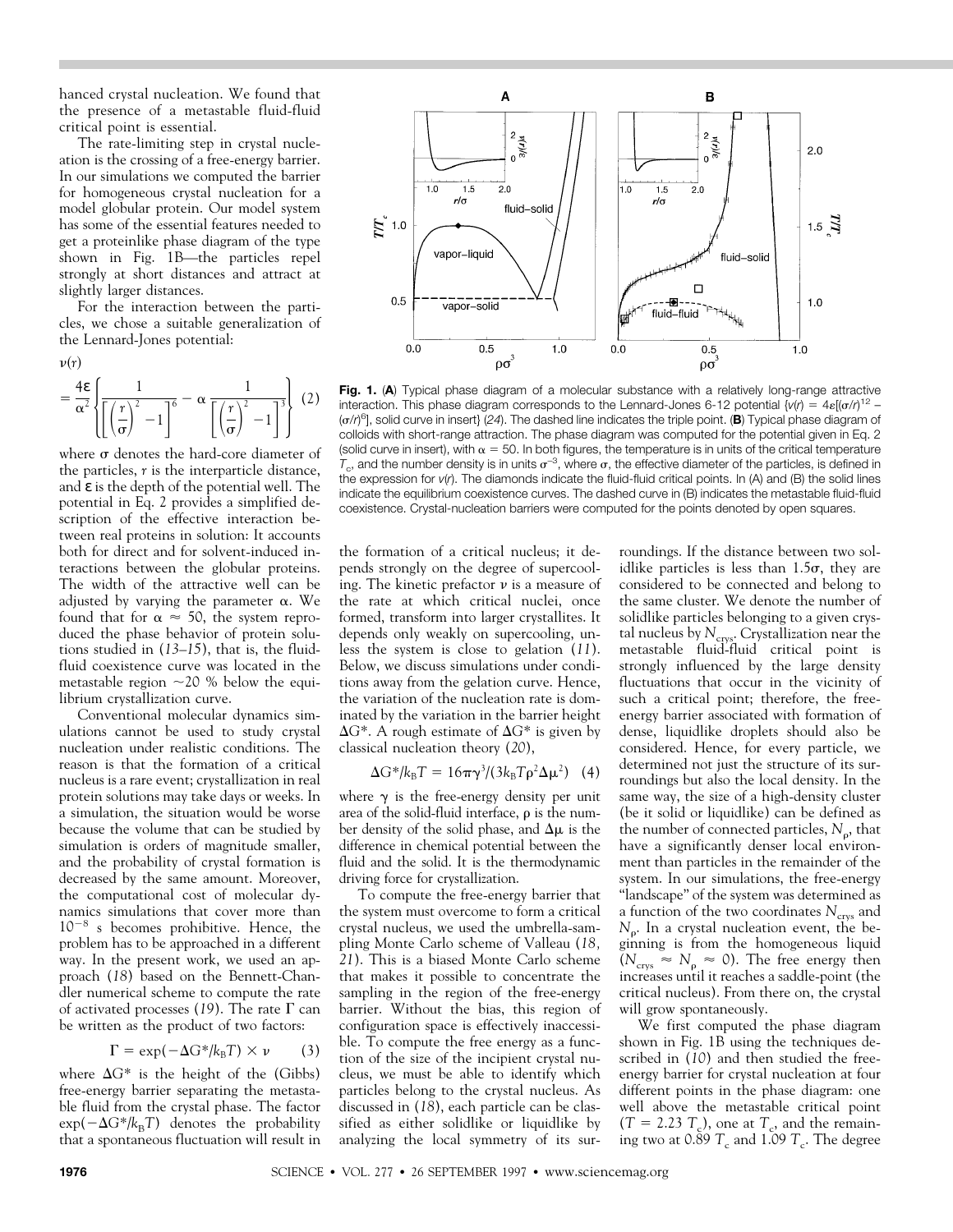hanced crystal nucleation. We found that the presence of a metastable fluid-fluid critical point is essential.

The rate-limiting step in crystal nucleation is the crossing of a free-energy barrier. In our simulations we computed the barrier for homogeneous crystal nucleation for a model globular protein. Our model system has some of the essential features needed to get a proteinlike phase diagram of the type shown in Fig. 1B—the particles repel strongly at short distances and attract at slightly larger distances.

For the interaction between the particles, we chose a suitable generalization of the Lennard-Jones potential:

 $\nu(r)$ 

$$
= \frac{4\epsilon}{\alpha^2} \left\{ \frac{1}{\left[ \left(\frac{r}{\sigma}\right)^2 - 1 \right]^6} - \alpha \frac{1}{\left[ \left(\frac{r}{\sigma}\right)^2 - 1 \right]^3} \right\} (2)
$$

where  $\sigma$  denotes the hard-core diameter of the particles, *r* is the interparticle distance, and  $\varepsilon$  is the depth of the potential well. The potential in Eq. 2 provides a simplified description of the effective interaction between real proteins in solution: It accounts both for direct and for solvent-induced interactions between the globular proteins. The width of the attractive well can be adjusted by varying the parameter  $\alpha$ . We found that for  $\alpha \approx 50$ , the system reproduced the phase behavior of protein solutions studied in (*13–15*), that is, the fluidfluid coexistence curve was located in the metastable region  $\sim$  20 % below the equilibrium crystallization curve.

Conventional molecular dynamics simulations cannot be used to study crystal nucleation under realistic conditions. The reason is that the formation of a critical nucleus is a rare event; crystallization in real protein solutions may take days or weeks. In a simulation, the situation would be worse because the volume that can be studied by simulation is orders of magnitude smaller, and the probability of crystal formation is decreased by the same amount. Moreover, the computational cost of molecular dynamics simulations that cover more than  $10^{-8}$  s becomes prohibitive. Hence, the problem has to be approached in a different way. In the present work, we used an approach (*18*) based on the Bennett-Chandler numerical scheme to compute the rate of activated processes (19). The rate  $\Gamma$  can be written as the product of two factors:

$$
\Gamma = \exp(-\Delta G^* / k_B T) \times \nu \qquad (3)
$$

where  $\Delta G^*$  is the height of the (Gibbs) free-energy barrier separating the metastable fluid from the crystal phase. The factor  $\exp(-\Delta G^*/k_BT)$  denotes the probability that a spontaneous fluctuation will result in



**Fig. 1. (A)** Typical phase diagram of a molecular substance with a relatively long-range attractive interaction. This phase diagram corresponds to the Lennard-Jones 6-12 potential  $\{v(r) = 4\varepsilon[(\sigma/r)^{12} -$ (s/*r*) 6], solid curve in insert} (*24*). The dashed line indicates the triple point. (**B**) Typical phase diagram of colloids with short-range attraction. The phase diagram was computed for the potential given in Eq. 2 (solid curve in insert), with  $\alpha = 50$ . In both figures, the temperature is in units of the critical temperature  $T_c$ , and the number density is in units  $\sigma^{-3}$ , where  $\sigma$ , the effective diameter of the particles, is defined in the expression for *v*(*r*). The diamonds indicate the fluid-fluid critical points. In (A) and (B) the solid lines indicate the equilibrium coexistence curves. The dashed curve in (B) indicates the metastable fluid-fluid coexistence. Crystal-nucleation barriers were computed for the points denoted by open squares.

the formation of a critical nucleus; it depends strongly on the degree of supercooling. The kinetic prefactor  $\nu$  is a measure of the rate at which critical nuclei, once formed, transform into larger crystallites. It depends only weakly on supercooling, unless the system is close to gelation (*11*). Below, we discuss simulations under conditions away from the gelation curve. Hence, the variation of the nucleation rate is dominated by the variation in the barrier height  $\Delta$ *G*<sup>\*</sup>. A rough estimate of  $\Delta$ *G*<sup>\*</sup> is given by classical nucleation theory (*20*),

$$
\Delta G^* / k_B T = 16\pi \gamma^3 / (3k_B T \rho^2 \Delta \mu^2)
$$
 (4)

where  $\gamma$  is the free-energy density per unit area of the solid-fluid interface,  $\rho$  is the number density of the solid phase, and  $\Delta \mu$  is the difference in chemical potential between the fluid and the solid. It is the thermodynamic driving force for crystallization.

To compute the free-energy barrier that the system must overcome to form a critical crystal nucleus, we used the umbrella-sampling Monte Carlo scheme of Valleau (*18, 21*). This is a biased Monte Carlo scheme that makes it possible to concentrate the sampling in the region of the free-energy barrier. Without the bias, this region of configuration space is effectively inaccessible. To compute the free energy as a function of the size of the incipient crystal nucleus, we must be able to identify which particles belong to the crystal nucleus. As discussed in (*18*), each particle can be classified as either solidlike or liquidlike by analyzing the local symmetry of its surroundings. If the distance between two solidlike particles is less than  $1.5\sigma$ , they are considered to be connected and belong to the same cluster. We denote the number of solidlike particles belonging to a given crystal nucleus by  $N_{\text{crvs}}$ . Crystallization near the metastable fluid-fluid critical point is strongly influenced by the large density fluctuations that occur in the vicinity of such a critical point; therefore, the freeenergy barrier associated with formation of dense, liquidlike droplets should also be considered. Hence, for every particle, we determined not just the structure of its surroundings but also the local density. In the same way, the size of a high-density cluster (be it solid or liquidlike) can be defined as the number of connected particles,  $N_{\rm o}$ , that have a significantly denser local environment than particles in the remainder of the system. In our simulations, the free-energy "landscape" of the system was determined as a function of the two coordinates  $N_{\text{crys}}$  and *N*<sub>0</sub>. In a crystal nucleation event, the beginning is from the homogeneous liquid  $(N_{\text{crys}} \approx N_{\text{p}} \approx 0)$ . The free energy then increases until it reaches a saddle-point (the critical nucleus). From there on, the crystal will grow spontaneously.

We first computed the phase diagram shown in Fig. 1B using the techniques described in (*10*) and then studied the freeenergy barrier for crystal nucleation at four different points in the phase diagram: one well above the metastable critical point  $(T = 2.23 T_c)$ , one at  $T_c$ , and the remaining two at  $0.89$  *T*<sub>c</sub> and 1.09 *T*<sub>c</sub>. The degree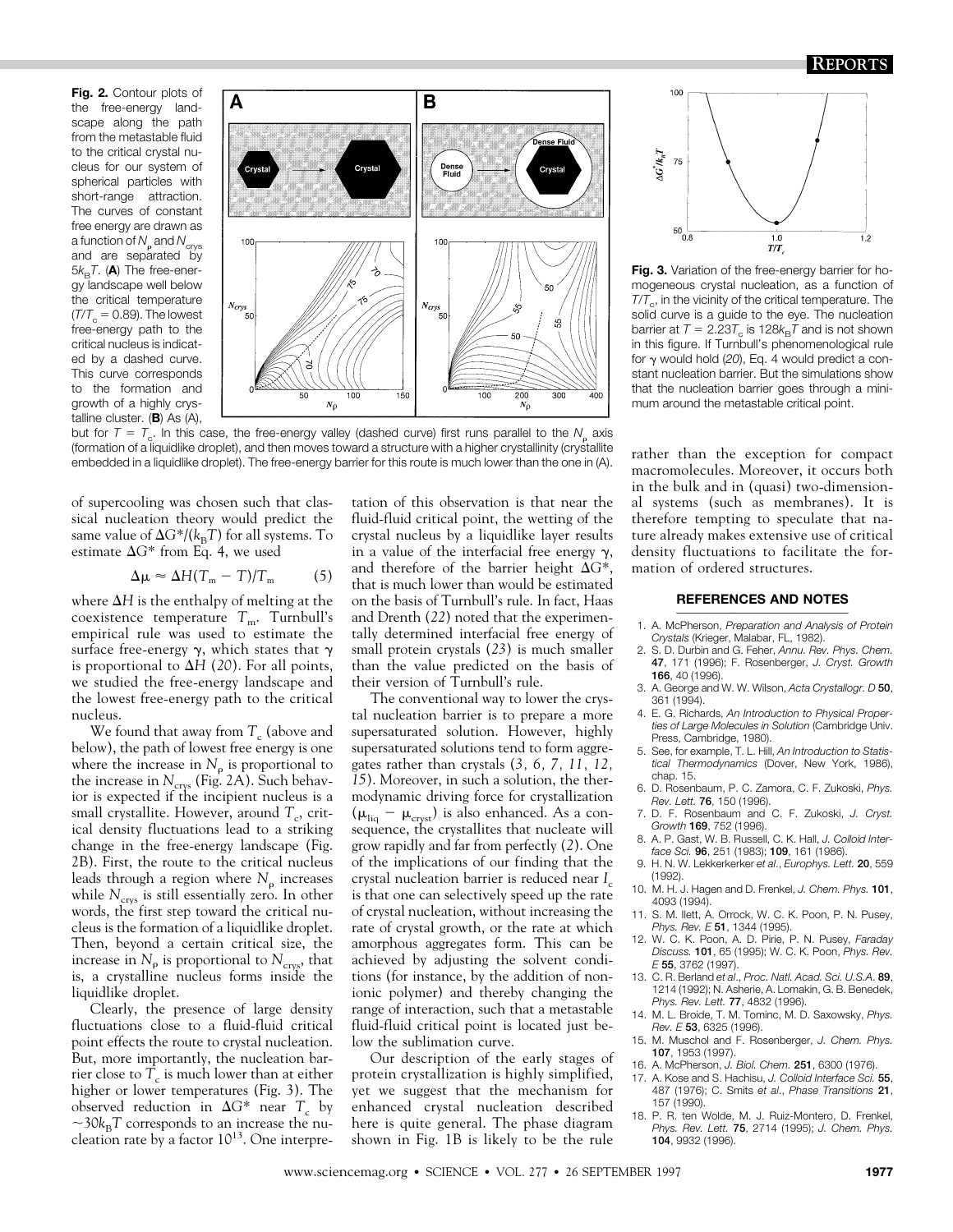**Fig. 2.** Contour plots of the free-energy landscape along the path from the metastable fluid to the critical crystal nucleus for our system of spherical particles with short-range attraction. The curves of constant free energy are drawn as a function of  $N_c$  and  $N_{\text{crys}}$ and are separated by  $5k_BT$ . (A) The free-energy landscape well below the critical temperature  $(T/T_c = 0.89)$ . The lowest free-energy path to the critical nucleus is indicated by a dashed curve. This curve corresponds to the formation and growth of a highly crystalline cluster. (**B**) As (A),



but for  $T = T_c$ . In this case, the free-energy valley (dashed curve) first runs parallel to the  $N_c$  axis (formation of a liquidlike droplet), and then moves toward a structure with a higher crystallinity (crystallite embedded in a liquidlike droplet). The free-energy barrier for this route is much lower than the one in (A).

of supercooling was chosen such that classical nucleation theory would predict the same value of  $\Delta G^*/(k_BT)$  for all systems. To estimate  $\Delta G^*$  from Eq. 4, we used

$$
\Delta \mu \approx \Delta H (T_m - T) / T_m \tag{5}
$$

where  $\Delta H$  is the enthalpy of melting at the coexistence temperature  $T_m$ . Turnbull's empirical rule was used to estimate the surface free-energy  $\gamma$ , which states that  $\gamma$ is proportional to  $\Delta H$  (20). For all points, we studied the free-energy landscape and the lowest free-energy path to the critical nucleus.

We found that away from  $T_c$  (above and below), the path of lowest free energy is one where the increase in  $N_{\text{p}}$  is proportional to the increase in *N<sub>crys</sub>* (Fig. 2A). Such behavior is expected if the incipient nucleus is a small crystallite. However, around  $T_c$ , critical density fluctuations lead to a striking change in the free-energy landscape (Fig. 2B). First, the route to the critical nucleus leads through a region where  $N_{\rm p}$  increases while  $N_{\text{crys}}$  is still essentially zero. In other words, the first step toward the critical nucleus is the formation of a liquidlike droplet. Then, beyond a certain critical size, the increase in  $N_p$  is proportional to  $N_{\text{crys}}$ , that is, a crystalline nucleus forms inside the liquidlike droplet.

Clearly, the presence of large density fluctuations close to a fluid-fluid critical point effects the route to crystal nucleation. But, more importantly, the nucleation barrier close to  $T_c$  is much lower than at either higher or lower temperatures (Fig. 3). The observed reduction in  $\Delta G^*$  near  $T_c$  by  $\sim$ 30 $k_B$ T corresponds to an increase the nucleation rate by a factor  $10^{13}$ . One interpre-

tation of this observation is that near the fluid-fluid critical point, the wetting of the crystal nucleus by a liquidlike layer results in a value of the interfacial free energy  $\gamma$ , and therefore of the barrier height  $\Delta G^*$ , that is much lower than would be estimated on the basis of Turnbull's rule. In fact, Haas and Drenth (*22*) noted that the experimentally determined interfacial free energy of small protein crystals (*23*) is much smaller than the value predicted on the basis of their version of Turnbull's rule.

The conventional way to lower the crystal nucleation barrier is to prepare a more supersaturated solution. However, highly supersaturated solutions tend to form aggregates rather than crystals (*3, 6, 7, 11, 12, 15*). Moreover, in such a solution, the thermodynamic driving force for crystallization  $(\mu_{liq} - \mu_{cryst})$  is also enhanced. As a consequence, the crystallites that nucleate will grow rapidly and far from perfectly (*2*). One of the implications of our finding that the crystal nucleation barrier is reduced near *I*<sub>c</sub> is that one can selectively speed up the rate of crystal nucleation, without increasing the rate of crystal growth, or the rate at which amorphous aggregates form. This can be achieved by adjusting the solvent conditions (for instance, by the addition of nonionic polymer) and thereby changing the range of interaction, such that a metastable fluid-fluid critical point is located just below the sublimation curve.

Our description of the early stages of protein crystallization is highly simplified, yet we suggest that the mechanism for enhanced crystal nucleation described here is quite general. The phase diagram shown in Fig. 1B is likely to be the rule



Fig. 3. Variation of the free-energy barrier for homogeneous crystal nucleation, as a function of  $T/T_c$ , in the vicinity of the critical temperature. The solid curve is a guide to the eye. The nucleation barrier at  $T = 2.23T_c$  is 128 $k_B T$  and is not shown in this figure. If Turnbull's phenomenological rule for  $\gamma$  would hold (20), Eq. 4 would predict a constant nucleation barrier. But the simulations show that the nucleation barrier goes through a minimum around the metastable critical point.

rather than the exception for compact macromolecules. Moreover, it occurs both in the bulk and in (quasi) two-dimensional systems (such as membranes). It is therefore tempting to speculate that nature already makes extensive use of critical density fluctuations to facilitate the formation of ordered structures.

## **REFERENCES AND NOTES \_\_\_\_\_\_\_\_\_\_\_\_\_\_\_\_\_\_\_\_\_\_\_\_\_\_\_**

- 1. A. McPherson, *Preparation and Analysis of Protein Crystals* (Krieger, Malabar, FL, 1982).
- 2. S. D. Durbin and G. Feher, *Annu. Rev. Phys. Chem.* 47, 171 (1996); F. Rosenberger, *J. Cryst. Growth* 166, 40 (1996).
- 3. A. George and W. W. Wilson, *Acta Crystallogr. D* 50, 361 (1994).
- 4. E. G. Richards, *An Introduction to Physical Properties of Large Molecules in Solution* (Cambridge Univ. Press, Cambridge, 1980).
- 5. See, for example, T. L. Hill, *An Introduction to Statistical Thermodynamics* (Dover, New York, 1986), chap. 15.
- 6. D. Rosenbaum, P. C. Zamora, C. F. Zukoski, *Phys. Rev. Lett.* 76, 150 (1996).
- 7. D. F. Rosenbaum and C. F. Zukoski, *J. Cryst. Growth* 169, 752 (1996).
- 8. A. P. Gast, W. B. Russell, C. K. Hall, *J. Colloid Interface Sci.* 96, 251 (1983); 109, 161 (1986).
- 9. H. N. W. Lekkerkerker *et al*., *Europhys. Lett.* 20, 559 (1992).
- 10. M. H. J. Hagen and D. Frenkel, *J. Chem. Phys.* 101, 4093 (1994).
- 11. S. M. Ilett, A. Orrock, W. C. K. Poon, P. N. Pusey, *Phys. Rev. E* 51, 1344 (1995).
- 12. W. C. K. Poon, A. D. Pirie, P. N. Pusey, *Faraday Discuss.* 101, 65 (1995); W. C. K. Poon, *Phys. Rev. E* 55, 3762 (1997).
- 13. C. R. Berland *et al*., *Proc. Natl. Acad. Sci. U.S.A*. 89, 1214 (1992); N. Asherie, A. Lomakin, G. B. Benedek, *Phys. Rev. Lett.* 77, 4832 (1996).
- 14. M. L. Broide, T. M. Tominc, M. D. Saxowsky, *Phys. Rev. E* 53, 6325 (1996).
- 15. M. Muschol and F. Rosenberger, *J. Chem. Phys.* 107, 1953 (1997).
- 16. A. McPherson, *J. Biol. Chem.* 251, 6300 (1976).
- 17. A. Kose and S. Hachisu, *J. Colloid Interface Sci.* 55, 487 (1976); C. Smits *et al*., *Phase Transitions* 21, 157 (1990).
- 18. P. R. ten Wolde, M. J. Ruiz-Montero, D. Frenkel, *Phys. Rev. Lett.* 75, 2714 (1995); *J. Chem. Phys.* 104, 9932 (1996).